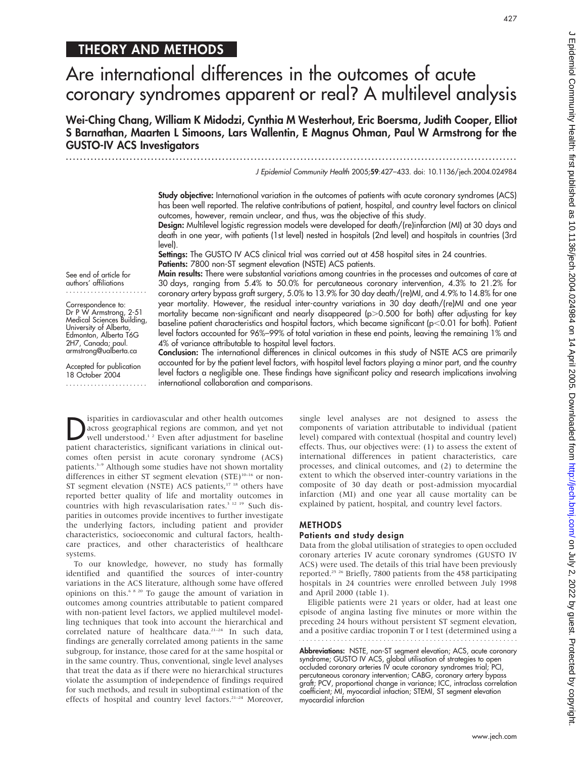# THEORY AND METHODS

# Are international differences in the outcomes of acute coronary syndromes apparent or real? A multilevel analysis

Wei-Ching Chang, William K Midodzi, Cynthia M Westerhout, Eric Boersma, Judith Cooper, Elliot S Barnathan, Maarten L Simoons, Lars Wallentin, E Magnus Ohman, Paul W Armstrong for the GUSTO-IV ACS Investigators

...............................................................................................................................

J Epidemiol Community Health 2005;59:427–433. doi: 10.1136/jech.2004.024984

Study objective: International variation in the outcomes of patients with acute coronary syndromes (ACS) has been well reported. The relative contributions of patient, hospital, and country level factors on clinical outcomes, however, remain unclear, and thus, was the objective of this study.

Design: Multilevel logistic regression models were developed for death/(re)infarction (MI) at 30 days and death in one year, with patients (1st level) nested in hospitals (2nd level) and hospitals in countries (3rd level).

Settings: The GUSTO IV ACS clinical trial was carried out at 458 hospital sites in 24 countries. Patients: 7800 non-ST segment elevation (NSTE) ACS patients.

Main results: There were substantial variations among countries in the processes and outcomes of care at 30 days, ranging from 5.4% to 50.0% for percutaneous coronary intervention, 4.3% to 21.2% for coronary artery bypass graft surgery, 5.0% to 13.9% for 30 day death/(re)MI, and 4.9% to 14.8% for one year mortality. However, the residual inter-country variations in 30 day death/(re)MI and one year mortality became non-significant and nearly disappeared (p>0.500 for both) after adjusting for key baseline patient characteristics and hospital factors, which became significant (p<0.01 for both). Patient level factors accounted for 96%–99% of total variation in these end points, leaving the remaining 1% and

4% of variance attributable to hospital level factors. Conclusion: The international differences in clinical outcomes in this study of NSTE ACS are primarily accounted for by the patient level factors, with hospital level factors playing a minor part, and the country level factors a negligible one. These findings have significant policy and research implications involving international collaboration and comparisons.

See end of article for authors' affiliations .......................

Correspondence to: Dr P W Armstrong, 2-51 Medical Sciences Building, University of Alberta, Edmonton, Alberta T6G 2H7, Canada; paul. armstrong@ualberta.ca

Accepted for publication 18 October 2004 .......................

Siparities in cardiovascular and other health outcomes<br>well understood.<sup>12</sup> Even after adjustment for baseline<br>matient characteristics, similizent variations in clinical out across geographical regions are common, and yet not patient characteristics, significant variations in clinical outcomes often persist in acute coronary syndrome (ACS) patients.<sup>3-9</sup> Although some studies have not shown mortality differences in either ST segment elevation (STE)<sup>10-16</sup> or non-ST segment elevation (NSTE) ACS patients,<sup>17 18</sup> others have reported better quality of life and mortality outcomes in countries with high revascularisation rates.<sup>3 12 19</sup> Such disparities in outcomes provide incentives to further investigate the underlying factors, including patient and provider characteristics, socioeconomic and cultural factors, healthcare practices, and other characteristics of healthcare systems.

To our knowledge, however, no study has formally identified and quantified the sources of inter-country variations in the ACS literature, although some have offered opinions on this.6 8 20 To gauge the amount of variation in outcomes among countries attributable to patient compared with non-patient level factors, we applied multilevel modelling techniques that took into account the hierarchical and correlated nature of healthcare data.<sup>21-24</sup> In such data, findings are generally correlated among patients in the same subgroup, for instance, those cared for at the same hospital or in the same country. Thus, conventional, single level analyses that treat the data as if there were no hierarchical structures violate the assumption of independence of findings required for such methods, and result in suboptimal estimation of the effects of hospital and country level factors.<sup>21-24</sup> Moreover, single level analyses are not designed to assess the components of variation attributable to individual (patient level) compared with contextual (hospital and country level) effects. Thus, our objectives were: (1) to assess the extent of international differences in patient characteristics, care processes, and clinical outcomes, and (2) to determine the extent to which the observed inter-country variations in the composite of 30 day death or post-admission myocardial infarction (MI) and one year all cause mortality can be explained by patient, hospital, and country level factors.

# METHODS

# Patients and study design

Data from the global utilisation of strategies to open occluded coronary arteries IV acute coronary syndromes (GUSTO IV ACS) were used. The details of this trial have been previously reported.25 26 Briefly, 7800 patients from the 458 participating hospitals in 24 countries were enrolled between July 1998 and April 2000 (table 1).

Eligible patients were 21 years or older, had at least one episode of angina lasting five minutes or more within the preceding 24 hours without persistent ST segment elevation, and a positive cardiac troponin T or I test (determined using a 

Abbreviations: NSTE, non-ST segment elevation; ACS, acute coronary syndrome; GUSTO IV ACS, global utilisation of strategies to open occluded coronary arteries IV acute coronary syndromes trial; PCI, percutaneous coronary intervention; CABG, coronary artery bypass graft; PCV, proportional change in variance; ICC, intraclass correlation coefficient; MI, myocardial infaction; STEMI, ST segment elevation myocardial infarction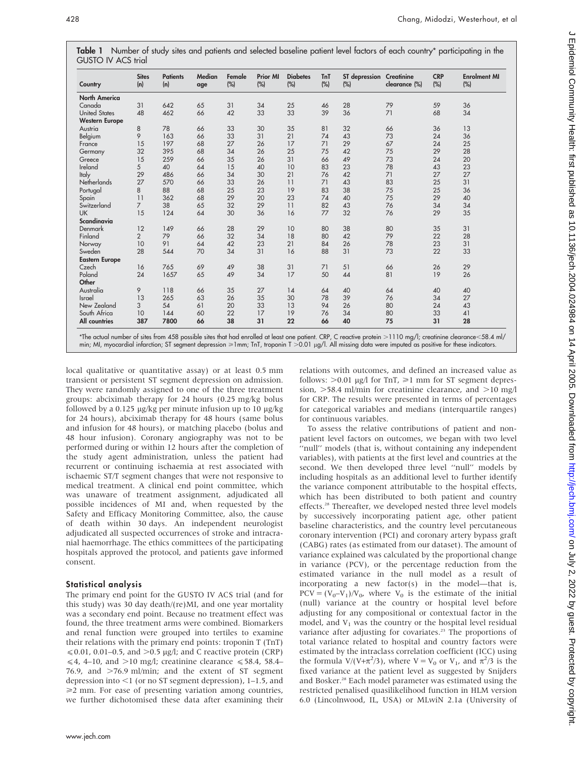Table 1 Number of study sites and patients and selected baseline patient level factors of each country\* participating in the GUSTO IV ACS trial

| Country               | <b>Sites</b><br>(n) | <b>Patients</b><br>(n) | Median<br>age | Female<br>$(\%)$ | <b>Prior MI</b><br>(%) | <b>Diabetes</b><br>(%) | <b>TnT</b><br>(%) | <b>ST depression Creatinine</b><br>$(\%)$ | clearance (%) | <b>CRP</b><br>(%) | <b>Enrolment MI</b><br>(%) |
|-----------------------|---------------------|------------------------|---------------|------------------|------------------------|------------------------|-------------------|-------------------------------------------|---------------|-------------------|----------------------------|
| <b>North America</b>  |                     |                        |               |                  |                        |                        |                   |                                           |               |                   |                            |
| Canada                | 31                  | 642                    | 65            | 31               | 34                     | 25                     | 46                | 28                                        | 79            | 59                | 36                         |
| <b>United States</b>  | 48                  | 462                    | 66            | 42               | 33                     | 33                     | 39                | 36                                        | 71            | 68                | 34                         |
| <b>Western Europe</b> |                     |                        |               |                  |                        |                        |                   |                                           |               |                   |                            |
| Austria               | 8                   | 78                     | 66            | 33               | 30                     | 35                     | 81                | 32                                        | 66            | 36                | 13                         |
| Belgium               | 9                   | 163                    | 66            | 33               | 31                     | 21                     | 74                | 43                                        | 73            | 24                | 36                         |
| France                | 15                  | 197                    | 68            | 27               | 26                     | 17                     | 71                | 29                                        | 67            | 24                | 25                         |
| Germany               | 32                  | 395                    | 68            | 34               | 26                     | 25                     | 75                | 42                                        | 75            | 29                | 28                         |
| Greece                | 15                  | 259                    | 66            | 35               | 26                     | 31                     | 66                | 49                                        | 73            | 24                | 20                         |
| Ireland               | 5                   | 40                     | 64            | 15               | 40                     | 10                     | 83                | 23                                        | 78            | 43                | 23                         |
| Italy                 | 29                  | 486                    | 66            | 34               | 30                     | 21                     | 76                | 42                                        | 71            | 27                | 27                         |
| <b>Netherlands</b>    | 27                  | 570                    | 66            | 33               | 26                     | 11                     | 71                | 43                                        | 83            | 25                | 31                         |
| Portugal              | 8                   | 88                     | 68            | 25               | 23                     | 19                     | 83                | 38                                        | 75            | 25                | 36                         |
| Spain                 | 11                  | 362                    | 68            | 29               | 20                     | 23                     | 74                | 40                                        | 75            | 29                | 40                         |
| Switzerland           | $\overline{7}$      | 38                     | 65            | 32               | 29                     | 11                     | 82                | 43                                        | 76            | 34                | 34                         |
| UK                    | 15                  | 124                    | 64            | 30               | 36                     | 16                     | 77                | 32                                        | 76            | 29                | 35                         |
| Scandinavia           |                     |                        |               |                  |                        |                        |                   |                                           |               |                   |                            |
| <b>Denmark</b>        | 12                  | 149                    | 66            | 28               | 29                     | 10                     | 80                | 38                                        | 80            | 35                | 31                         |
| Finland               | $\overline{2}$      | 79                     | 66            | 32               | 34                     | 18                     | 80                | 42                                        | 79            | 22                | 28                         |
| Norway                | 10                  | 91                     | 64            | 42               | 23                     | 21                     | 84                | 26                                        | 78            | 23                | 31                         |
| Sweden                | 28                  | 544                    | 70            | 34               | 31                     | 16                     | 88                | 31                                        | 73            | 22                | 33                         |
| <b>Eastern Europe</b> |                     |                        |               |                  |                        |                        |                   |                                           |               |                   |                            |
| Czech                 | 16                  | 765                    | 69            | 49               | 38                     | 31                     | 71                | 51                                        | 66            | 26                | 29                         |
| Poland                | 24                  | 1657                   | 65            | 49               | 34                     | 17                     | 50                | 44                                        | 81            | 19                | 26                         |
| Other                 |                     |                        |               |                  |                        |                        |                   |                                           |               |                   |                            |
| Australia             | 9                   | 118                    | 66            | 35               | 27                     | 14                     | 64                | 40                                        | 64            | 40                | 40                         |
| <b>Israel</b>         | 13                  | 265                    | 63            | 26               | 35                     | 30                     | 78                | 39                                        | 76            | 34                | 27                         |
| New Zealand           | 3                   | 54                     | 61            | 20               | 33                     | 13                     | 94                | 26                                        | 80            | 24                | 43                         |
| South Africa          | 10                  | 144                    | 60            | 22               | 17                     | 19                     | 76                | 34                                        | 80            | 33                | 41                         |
| All countries         | 387                 | 7800                   | 66            | 38               | 31                     | 22                     | 66                | 40                                        | 75            | 31                | 28                         |

\*The actual number of sites from 458 possible sites that had enrolled at least one patient. CRP, C reactive protein >1110 mg/l; creatinine clearance<58.4 ml/<br>min; MI, myocardial infarction; ST segment depression ≥1mm; TnT

local qualitative or quantitative assay) or at least 0.5 mm transient or persistent ST segment depression on admission. They were randomly assigned to one of the three treatment groups: abciximab therapy for 24 hours (0.25 mg/kg bolus followed by a  $0.125 \mu g/kg$  per minute infusion up to 10  $\mu g/kg$ for 24 hours), abciximab therapy for 48 hours (same bolus and infusion for 48 hours), or matching placebo (bolus and 48 hour infusion). Coronary angiography was not to be performed during or within 12 hours after the completion of the study agent administration, unless the patient had recurrent or continuing ischaemia at rest associated with ischaemic ST/T segment changes that were not responsive to medical treatment. A clinical end point committee, which was unaware of treatment assignment, adjudicated all possible incidences of MI and, when requested by the Safety and Efficacy Monitoring Committee, also, the cause of death within 30 days. An independent neurologist adjudicated all suspected occurrences of stroke and intracranial haemorrhage. The ethics committees of the participating hospitals approved the protocol, and patients gave informed consent.

# Statistical analysis

The primary end point for the GUSTO IV ACS trial (and for this study) was 30 day death/(re)MI, and one year mortality was a secondary end point. Because no treatment effect was found, the three treatment arms were combined. Biomarkers and renal function were grouped into tertiles to examine their relations with the primary end points: troponin T (TnT)  $\leq 0.01$ , 0.01–0.5, and >0.5 µg/l; and C reactive protein (CRP)  $\leq 4$ , 4–10, and >10 mg/l; creatinine clearance  $\leq 58.4$ , 58.4– 76.9, and  $>76.9$  ml/min; and the extent of ST segment depression into  $\leq 1$  (or no ST segment depression), 1–1.5, and >2 mm. For ease of presenting variation among countries, we further dichotomised these data after examining their relations with outcomes, and defined an increased value as follows:  $>0.01$  µg/l for TnT,  $\geq 1$  mm for ST segment depression,  $>58.4$  ml/min for creatinine clearance, and  $>10$  mg/l for CRP. The results were presented in terms of percentages for categorical variables and medians (interquartile ranges) for continuous variables.

To assess the relative contributions of patient and nonpatient level factors on outcomes, we began with two level "null" models (that is, without containing any independent variables), with patients at the first level and countries at the second. We then developed three level ''null'' models by including hospitals as an additional level to further identify the variance component attributable to the hospital effects, which has been distributed to both patient and country effects.<sup>28</sup> Thereafter, we developed nested three level models by successively incorporating patient age, other patient baseline characteristics, and the country level percutaneous coronary intervention (PCI) and coronary artery bypass graft (CABG) rates (as estimated from our dataset). The amount of variance explained was calculated by the proportional change in variance (PCV), or the percentage reduction from the estimated variance in the null model as a result of incorporating a new factor(s) in the model—that is,  $PCV = (V_0 - V_1)/V_0$ , where  $V_0$  is the estimate of the initial (null) variance at the country or hospital level before adjusting for any compositional or contextual factor in the model, and  $V_1$  was the country or the hospital level residual variance after adjusting for covariates.<sup>23</sup> The proportions of total variance related to hospital and country factors were estimated by the intraclass correlation coefficient (ICC) using the formula  $V/(V+\pi^2/3)$ , where  $V = V_0$  or  $V_1$ , and  $\pi^2/3$  is the fixed variance at the patient level as suggested by Snijders and Bosker.<sup>28</sup> Each model parameter was estimated using the restricted penalised quasilikelihood function in HLM version 6.0 (Lincolnwood, IL, USA) or MLwiN 2.1a (University of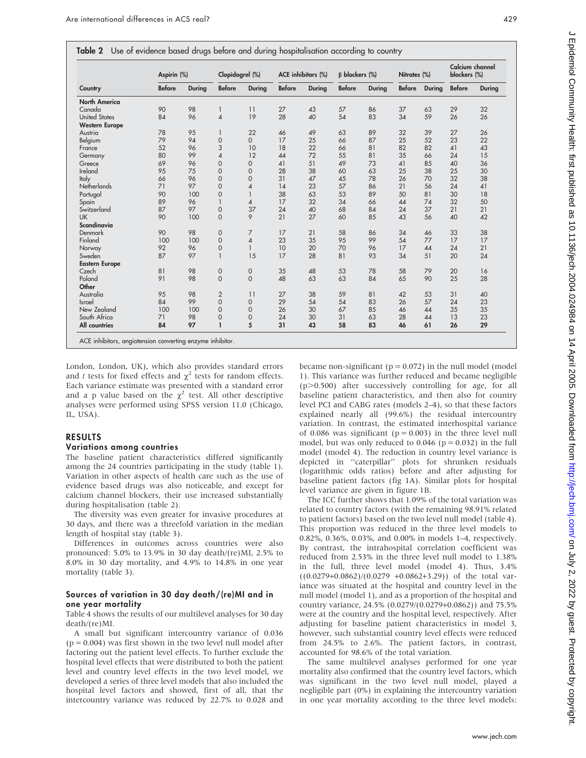|  |  |  |  |  |  |  |  |  | Table 2 Use of evidence based drugs before and during hospitalisation according to country |  |  |  |  |
|--|--|--|--|--|--|--|--|--|--------------------------------------------------------------------------------------------|--|--|--|--|
|--|--|--|--|--|--|--|--|--|--------------------------------------------------------------------------------------------|--|--|--|--|

|                       | Aspirin (%)   |               | Clopidogrel (%)          |                | ACE inhibitors (%) |               | $\beta$ blockers (%) |        | Nitrates (%)  |               | Calcium channel<br>blockers (%) |               |
|-----------------------|---------------|---------------|--------------------------|----------------|--------------------|---------------|----------------------|--------|---------------|---------------|---------------------------------|---------------|
| Country               | <b>Before</b> | <b>During</b> | <b>Before</b>            | <b>During</b>  | <b>Before</b>      | <b>During</b> | <b>Before</b>        | During | <b>Before</b> | <b>During</b> | <b>Before</b>                   | <b>During</b> |
| <b>North America</b>  |               |               |                          |                |                    |               |                      |        |               |               |                                 |               |
| Canada                | 90            | 98            | $\mathbf{1}$             | 11             | 27                 | 43            | 57                   | 86     | 37            | 63            | 29                              | 32            |
| <b>United States</b>  | 84            | 96            | $\overline{4}$           | 19             | 28                 | 40            | 54                   | 83     | 34            | 59            | 26                              | 26            |
| <b>Western Europe</b> |               |               |                          |                |                    |               |                      |        |               |               |                                 |               |
| Austria               | 78            | 95            | $\mathbf{1}$             | 22             | 46                 | 49            | 63                   | 89     | 32            | 39            | 27                              | 26            |
| Belgium               | 79            | 94            | $\mathbf{0}$             | 0              | 17                 | 25            | 66                   | 87     | 25            | 52            | 23                              | 22            |
| France                | 52            | 96            | 3                        | 10             | 18                 | 22            | 66                   | 81     | 82            | 82            | 41                              | 43            |
| Germany               | 80            | 99            | $\overline{4}$           | 12             | 44                 | 72            | 55                   | 81     | 35            | 66            | 24                              | 15            |
| Greece                | 69            | 96            | $\mathbf{0}$             | $\mathbf 0$    | 41                 | 51            | 49                   | 73     | 41            | 85            | 40                              | 36            |
| Ireland               | 95            | 75            | $\mathbf{0}$             | $\mathbf 0$    | 28                 | 38            | 60                   | 63     | 25            | 38            | 25                              | 30            |
| Italy                 | 66            | 96            | $\mathbf{0}$             | $\mathbf 0$    | 31                 | 47            | 45                   | 78     | 26            | 70            | 32                              | 38            |
| Netherlands           | 71            | 97            | 0                        | 4              | 14                 | 23            | 57                   | 86     | 21            | 56            | 24                              | 41            |
| Portugal              | 90            | 100           | $\overline{0}$           | $\mathbf{1}$   | 38                 | 63            | 53                   | 89     | 50            | 81            | 30                              | 18            |
| Spain                 | 89            | 96            | $\mathbf{1}$             | 4              | 17                 | 32            | 34                   | 66     | 44            | 74            | 32                              | 50            |
| Switzerland           | 87            | 97            | $\mathbf 0$              | 37             | 24                 | 40            | 68                   | 84     | 24            | 37            | 21                              | 21            |
| <b>UK</b>             | 90            | 100           | $\Omega$                 | 9              | 21                 | 27            | 60                   | 85     | 43            | 56            | 40                              | 42            |
| Scandinavia           |               |               |                          |                |                    |               |                      |        |               |               |                                 |               |
| Denmark               | 90            | 98            | $\mathbf{0}$             | $\overline{7}$ | 17                 | 21            | 58                   | 86     | 34            | 46            | 33                              | 38            |
| Finland               | 100           | 100           | $\Omega$                 | 4              | 23                 | 35            | 95                   | 99     | 54            | 77            | 17                              | 17            |
| Norway                | 92            | 96            | 0                        | $\mathbf{1}$   | 10                 | 20            | 70                   | 96     | 17            | 44            | 24                              | 21            |
| Sweden                | 87            | 97            | $\overline{\phantom{a}}$ | 15             | 17                 | 28            | 81                   | 93     | 34            | 51            | 20                              | 24            |
| <b>Eastern Europe</b> |               |               |                          |                |                    |               |                      |        |               |               |                                 |               |
| Czech                 | 81            | 98            | 0                        | $\mathbf 0$    | 35                 | 48            | 53                   | 78     | 58            | 79            | 20                              | 16            |
| Poland                | 91            | 98            | $\mathbf 0$              | $\mathbf 0$    | 48                 | 63            | 63                   | 84     | 65            | 90            | 25                              | 28            |
| Other                 |               |               |                          |                |                    |               |                      |        |               |               |                                 |               |
| Australia             | 95            | 98            | $\overline{2}$           | 11             | 27                 | 38            | 59                   | 81     | 42            | 53            | 31                              | 40            |
| <b>Israel</b>         | 84            | 99            | $\Omega$                 | 0              | 29                 | 54            | 54                   | 83     | 26            | 57            | 24                              | 23            |
| New Zealand           | 100           | 100           | $\Omega$                 | $\mathbf 0$    | 26                 | 30            | 67                   | 85     | 46            | 44            | 35                              | 35            |
| South Africa          | 71            | 98            | 0                        | $\mathbf 0$    | 24                 | 30            | 31                   | 63     | 28            | 44            | 13                              | 23            |
| All countries         | 84            | 97            | $\mathbf{I}$             | 5              | 31                 | 43            | 58                   | 83     | 46            | 61            | 26                              | 29            |

ACE inhibitors, angiotension converting enzyme inhibitor.

London, London, UK), which also provides standard errors and t tests for fixed effects and  $\chi^2$  tests for random effects. Each variance estimate was presented with a standard error and a p value based on the  $\chi^2$  test. All other descriptive analyses were performed using SPSS version 11.0 (Chicago, IL, USA).

### RESULTS

#### Variations among countries

The baseline patient characteristics differed significantly among the 24 countries participating in the study (table 1). Variation in other aspects of health care such as the use of evidence based drugs was also noticeable, and except for calcium channel blockers, their use increased substantially during hospitalisation (table 2).

The diversity was even greater for invasive procedures at 30 days, and there was a threefold variation in the median length of hospital stay (table 3).

Differences in outcomes across countries were also pronounced: 5.0% to 13.9% in 30 day death/(re)MI, 2.5% to 8.0% in 30 day mortality, and 4.9% to 14.8% in one year mortality (table 3).

# Sources of variation in 30 day death/(re)MI and in one year mortality

Table 4 shows the results of our multilevel analyses for 30 day death/(re)MI.

A small but significant intercountry variance of 0.036  $(p = 0.004)$  was first shown in the two level null model after factoring out the patient level effects. To further exclude the hospital level effects that were distributed to both the patient level and country level effects in the two level model, we developed a series of three level models that also included the hospital level factors and showed, first of all, that the intercountry variance was reduced by 22.7% to 0.028 and

became non-significant ( $p = 0.072$ ) in the null model (model 1). This variance was further reduced and became negligible  $(p>0.500)$  after successively controlling for age, for all baseline patient characteristics, and then also for country level PCI and CABG rates (models 2–4), so that these factors explained nearly all (99.6%) the residual intercountry variation. In contrast, the estimated interhospital variance of 0.086 was significant ( $p = 0.003$ ) in the three level null model, but was only reduced to  $0.046$  ( $p = 0.032$ ) in the full model (model 4). The reduction in country level variance is depicted in ''caterpillar'' plots for shrunken residuals (logarithmic odds ratios) before and after adjusting for baseline patient factors (fig 1A). Similar plots for hospital level variance are given in figure 1B.

The ICC further shows that 1.09% of the total variation was related to country factors (with the remaining 98.91% related to patient factors) based on the two level null model (table 4). This proportion was reduced in the three level models to 0.82%, 0.36%, 0.03%, and 0.00% in models 1–4, respectively. By contrast, the intrahospital correlation coefficient was reduced from 2.53% in the three level null model to 1.38% in the full, three level model (model 4). Thus, 3.4%  $((0.0279+0.0862)/(0.0279 +0.0862+3.29))$  of the total variance was situated at the hospital and country level in the null model (model 1), and as a proportion of the hospital and country variance, 24.5% (0.0279/(0.0279+0.0862)) and 75.5% were at the country and the hospital level, respectively. After adjusting for baseline patient characteristics in model 3, however, such substantial country level effects were reduced from 24.5% to 2.6%. The patient factors, in contrast, accounted for 98.6% of the total variation.

The same multilevel analyses performed for one year mortality also confirmed that the country level factors, which was significant in the two level null model, played a negligible part (0%) in explaining the intercountry variation in one year mortality according to the three level models: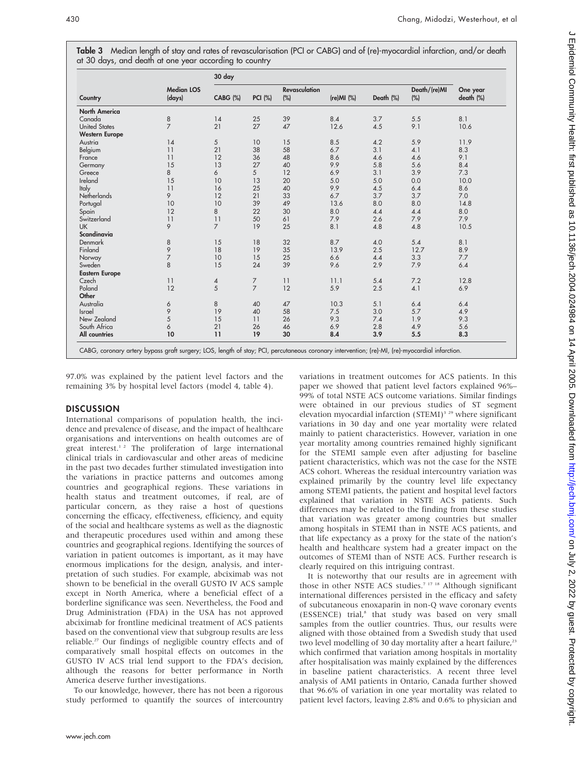Table 3 Median length of stay and rates of revascularisation (PCI or CABG) and of (re)-myocardial infarction, and/or death at 30 days, and death at one year according to country

|                       |                             | 30 day                            |                |                                |             |           |                        |                       |  |  |
|-----------------------|-----------------------------|-----------------------------------|----------------|--------------------------------|-------------|-----------|------------------------|-----------------------|--|--|
| Country               | <b>Median LOS</b><br>(days) | <b>PCI (%)</b><br><b>CABG (%)</b> |                | <b>Revasculation</b><br>$(\%)$ | (re) MI (%) | Death (%) | Death/(re)MI<br>$(\%)$ | One year<br>death (%) |  |  |
| <b>North America</b>  |                             |                                   |                |                                |             |           |                        |                       |  |  |
| Canada                | 8                           | 14                                | 25             | 39                             | 8.4         | 3.7       | 5.5                    | 8.1                   |  |  |
| <b>United States</b>  | $\overline{7}$              | 21                                | 27             | 47                             | 12.6        | 4.5       | 9.1                    | 10.6                  |  |  |
| <b>Western Europe</b> |                             |                                   |                |                                |             |           |                        |                       |  |  |
| Austria               | 14                          | 5                                 | 10             | 15                             | 8.5         | 4.2       | 5.9                    | 11.9                  |  |  |
| Belgium               | 11                          | 21                                | 38             | 58                             | 6.7         | 3.1       | 4.1                    | 8.3                   |  |  |
| France                | 11                          | 12                                | 36             | 48                             | 8.6         | 4.6       | 4.6                    | 9.1                   |  |  |
| Germany               | 15                          | 13                                | 27             | 40                             | 9.9         | 5.8       | 5.6                    | 8.4                   |  |  |
| Greece                | 8                           | 6                                 | 5              | 12                             | 6.9         | 3.1       | 3.9                    | 7.3                   |  |  |
| Ireland               | 15                          | 10                                | 13             | 20                             | 5.0         | 5.0       | 0.0                    | 10.0                  |  |  |
| <b>Italy</b>          | 11                          | 16                                | 25             | 40                             | 9.9         | 4.5       | 6.4                    | 8.6                   |  |  |
| <b>Netherlands</b>    | 9                           | 12                                | 21             | 33                             | 6.7         | 3.7       | 3.7                    | 7.0                   |  |  |
| Portugal              | 10                          | 10                                | 39             | 49                             | 13.6        | 8.0       | 8.0                    | 14.8                  |  |  |
| Spain                 | 12                          | 8                                 | 22             | 30                             | 8.0         | 4.4       | 4.4                    | 8.0                   |  |  |
| Switzerland           | 11                          | 11                                | 50             | 61                             | 7.9         | 2.6       | 7.9                    | 7.9                   |  |  |
| <b>UK</b>             | 9                           | $\overline{7}$                    | 19             | 25                             | 8.1         | 4.8       | 4.8                    | 10.5                  |  |  |
| Scandinavia           |                             |                                   |                |                                |             |           |                        |                       |  |  |
| <b>Denmark</b>        | 8                           | 15                                | 18             | 32                             | 8.7         | 4.0       | 5.4                    | 8.1                   |  |  |
| Finland               | 9                           | 18                                | 19             | 35                             | 13.9        | 2.5       | 12.7                   | 8.9                   |  |  |
| Norway                | $\overline{7}$              | 10                                | 15             | 25                             | 6.6         | 4.4       | 3.3                    | 7.7                   |  |  |
| Sweden                | 8                           | 15                                | 24             | 39                             | 9.6         | 2.9       | 7.9                    | 6.4                   |  |  |
| <b>Eastern Europe</b> |                             |                                   |                |                                |             |           |                        |                       |  |  |
| Czech                 | 11                          | 4                                 | 7              | 11                             | 11.1        | 5.4       | 7.2                    | 12.8                  |  |  |
| Poland                | 12                          | 5                                 | $\overline{7}$ | 12                             | 5.9         | 2.5       | 4.1                    | 6.9                   |  |  |
| Other                 |                             |                                   |                |                                |             |           |                        |                       |  |  |
| Australia             | 6                           | 8                                 | 40             | 47                             | 10.3        | 5.1       | 6.4                    | 6.4                   |  |  |
| <b>Israel</b>         | 9                           | 19                                | 40             | 58                             | 7.5         | 3.0       | 5.7                    | 4.9                   |  |  |
| New Zealand           | 5                           | 15                                | 11             | 26                             | 9.3         | 7.4       | 1.9                    | 9.3                   |  |  |
| South Africa          | 6                           | 21                                | 26             | 46                             | 6.9         | 2.8       | 4.9                    | 5.6                   |  |  |
| All countries         | 10                          | 11                                | 19             | 30                             | 8.4         | 3.9       | 5.5                    | 8.3                   |  |  |

97.0% was explained by the patient level factors and the remaining 3% by hospital level factors (model 4, table 4).

# **DISCUSSION**

International comparisons of population health, the incidence and prevalence of disease, and the impact of healthcare organisations and interventions on health outcomes are of great interest.<sup>12</sup> The proliferation of large international clinical trials in cardiovascular and other areas of medicine in the past two decades further stimulated investigation into the variations in practice patterns and outcomes among countries and geographical regions. These variations in health status and treatment outcomes, if real, are of particular concern, as they raise a host of questions concerning the efficacy, effectiveness, efficiency, and equity of the social and healthcare systems as well as the diagnostic and therapeutic procedures used within and among these countries and geographical regions. Identifying the sources of variation in patient outcomes is important, as it may have enormous implications for the design, analysis, and interpretation of such studies. For example, abciximab was not shown to be beneficial in the overall GUSTO IV ACS sample except in North America, where a beneficial effect of a borderline significance was seen. Nevertheless, the Food and Drug Administration (FDA) in the USA has not approved abciximab for frontline medicinal treatment of ACS patients based on the conventional view that subgroup results are less reliable.<sup>27</sup> Our findings of negligible country effects and of comparatively small hospital effects on outcomes in the GUSTO IV ACS trial lend support to the FDA's decision, although the reasons for better performance in North America deserve further investigations.

To our knowledge, however, there has not been a rigorous study performed to quantify the sources of intercountry variations in treatment outcomes for ACS patients. In this paper we showed that patient level factors explained 96%– 99% of total NSTE ACS outcome variations. Similar findings were obtained in our previous studies of ST segment elevation myocardial infarction (STEMI)<sup>3-29</sup> where significant variations in 30 day and one year mortality were related mainly to patient characteristics. However, variation in one year mortality among countries remained highly significant for the STEMI sample even after adjusting for baseline patient characteristics, which was not the case for the NSTE ACS cohort. Whereas the residual intercountry variation was explained primarily by the country level life expectancy among STEMI patients, the patient and hospital level factors explained that variation in NSTE ACS patients. Such differences may be related to the finding from these studies that variation was greater among countries but smaller among hospitals in STEMI than in NSTE ACS patients, and that life expectancy as a proxy for the state of the nation's health and healthcare system had a greater impact on the outcomes of STEMI than of NSTE ACS. Further research is clearly required on this intriguing contrast.

It is noteworthy that our results are in agreement with those in other NSTE ACS studies.7 17 18 Although significant international differences persisted in the efficacy and safety of subcutaneous enoxaparin in non-Q wave coronary events (ESSENCE) trial,<sup>8</sup> that study was based on very small samples from the outlier countries. Thus, our results were aligned with those obtained from a Swedish study that used two level modelling of 30 day mortality after a heart failure,<sup>23</sup> which confirmed that variation among hospitals in mortality after hospitalisation was mainly explained by the differences in baseline patient characteristics. A recent three level analysis of AMI patients in Ontario, Canada further showed that 96.6% of variation in one year mortality was related to patient level factors, leaving 2.8% and 0.6% to physician and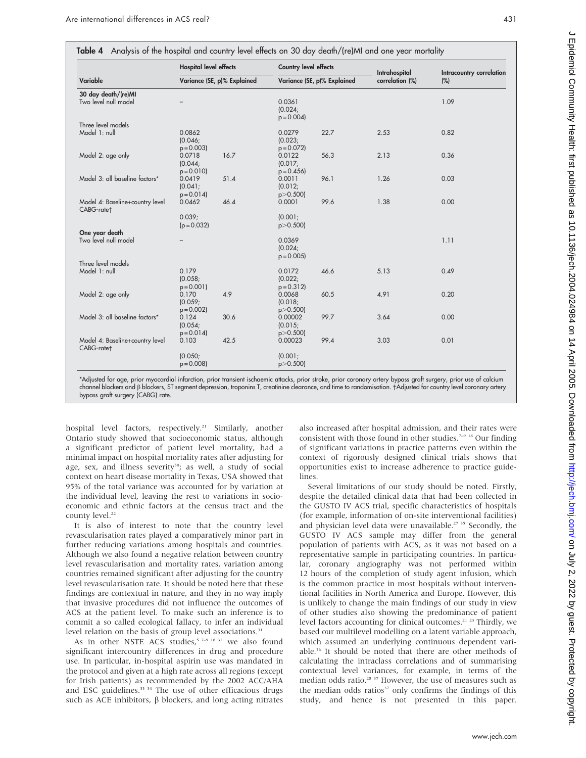|                                               | <b>Hospital level effects</b>    |                             | Country level effects            |                             | Intrahospital   | Intracountry correlation |
|-----------------------------------------------|----------------------------------|-----------------------------|----------------------------------|-----------------------------|-----------------|--------------------------|
| Variable                                      |                                  | Variance (SE, p)% Explained |                                  | Variance (SE, p)% Explained | correlation (%) | $(\%)$                   |
| 30 day death/(re)MI                           |                                  |                             |                                  |                             |                 |                          |
| Two level null model                          |                                  |                             | 0.0361<br>(0.024)<br>$p = 0.004$ |                             |                 | 1.09                     |
| Three level models                            |                                  |                             |                                  |                             |                 |                          |
| Model 1: null                                 | 0.0862<br>10.046:<br>$p = 0.003$ |                             | 0.0279<br>(0.023)<br>$p = 0.072$ | 22.7                        | 2.53            | 0.82                     |
| Model 2: age only                             | 0.0718<br>(0.044)<br>$p = 0.010$ | 16.7                        | 0.0122<br>(0.017)                | 56.3                        | 2.13            | 0.36                     |
| Model 3: all baseline factors*                | 0.0419<br>(0.041)                | 51.4                        | $p = 0.456$<br>0.0011<br>(0.012) | 96.1                        | 1.26            | 0.03                     |
| Model 4: Baseline+country level<br>CABG-rate† | $p = 0.014$<br>0.0462            | 46.4                        | p > 0.500<br>0.0001              | 99.6                        | 1.38            | 0.00                     |
|                                               | 0.039;<br>$(p=0.032)$            |                             | (0.001)<br>p > 0.500             |                             |                 |                          |
| One year death                                |                                  |                             |                                  |                             |                 |                          |
| Two level null model                          |                                  |                             | 0.0369<br>(0.024)<br>$p = 0.005$ |                             |                 | 1.11                     |
| Three level models                            |                                  |                             |                                  |                             |                 |                          |
| Model 1: null                                 | 0.179<br>(0.058)<br>$p = 0.001$  |                             | 0.0172<br>(0.022)<br>$p = 0.312$ | 46.6                        | 5.13            | 0.49                     |
| Model 2: age only                             | 0.170<br>10.059:<br>$p = 0.002$  | 4.9                         | 0.0068<br>(0.018)<br>p > 0.500   | 60.5                        | 4.91            | 0.20                     |
| Model 3: all baseline factors*                | 0.124<br>(0.054)<br>$p = 0.014$  | 30.6                        | 0.00002<br>(0.015)<br>p > 0.500  | 99.7                        | 3.64            | 0.00                     |
| Model 4: Baseline+country level<br>CABG-ratet | 0.103                            | 42.5                        | 0.00023                          | 99.4                        | 3.03            | 0.01                     |
|                                               | (0.050)<br>$p = 0.008$           |                             | (0.001)<br>p > 0.500             |                             |                 |                          |

\*Adjusted for age, prior myocardial infarction, prior transient ischaemic attacks, prior stroke, prior coronary artery bypass graft surgery, prior use of calcium<br>channel blockers and β blockers, ST segment depression, trop bypass graft surgery (CABG) rate.

hospital level factors, respectively.<sup>21</sup> Similarly, another Ontario study showed that socioeconomic status, although a significant predictor of patient level mortality, had a minimal impact on hospital mortality rates after adjusting for age, sex, and illness severity<sup>30</sup>; as well, a study of social context on heart disease mortality in Texas, USA showed that 95% of the total variance was accounted for by variation at the individual level, leaving the rest to variations in socioeconomic and ethnic factors at the census tract and the county level.<sup>22</sup>

It is also of interest to note that the country level revascularisation rates played a comparatively minor part in further reducing variations among hospitals and countries. Although we also found a negative relation between country level revascularisation and mortality rates, variation among countries remained significant after adjusting for the country level revascularisation rate. It should be noted here that these findings are contextual in nature, and they in no way imply that invasive procedures did not influence the outcomes of ACS at the patient level. To make such an inference is to commit a so called ecological fallacy, to infer an individual level relation on the basis of group level associations.<sup>31</sup>

As in other NSTE ACS studies, $57-91832$  we also found significant intercountry differences in drug and procedure use. In particular, in-hospital aspirin use was mandated in the protocol and given at a high rate across all regions (except for Irish patients) as recommended by the 2002 ACC/AHA and ESC guidelines.<sup>33 34</sup> The use of other efficacious drugs such as ACE inhibitors,  $\beta$  blockers, and long acting nitrates

also increased after hospital admission, and their rates were consistent with those found in other studies.<sup> $7-9-18$ </sup> Our finding of significant variations in practice patterns even within the context of rigorously designed clinical trials shows that opportunities exist to increase adherence to practice guidelines.

Several limitations of our study should be noted. Firstly, despite the detailed clinical data that had been collected in the GUSTO IV ACS trial, specific characteristics of hospitals (for example, information of on-site interventional facilities) and physician level data were unavailable.<sup>27 35</sup> Secondly, the GUSTO IV ACS sample may differ from the general population of patients with ACS, as it was not based on a representative sample in participating countries. In particular, coronary angiography was not performed within 12 hours of the completion of study agent infusion, which is the common practice in most hospitals without interventional facilities in North America and Europe. However, this is unlikely to change the main findings of our study in view of other studies also showing the predominance of patient level factors accounting for clinical outcomes.<sup>21</sup> <sup>23</sup> Thirdly, we based our multilevel modelling on a latent variable approach, which assumed an underlying continuous dependent variable.36 It should be noted that there are other methods of calculating the intraclass correlations and of summarising contextual level variances, for example, in terms of the median odds ratio.<sup>28 37</sup> However, the use of measures such as the median odds ratios<sup>37</sup> only confirms the findings of this study, and hence is not presented in this paper.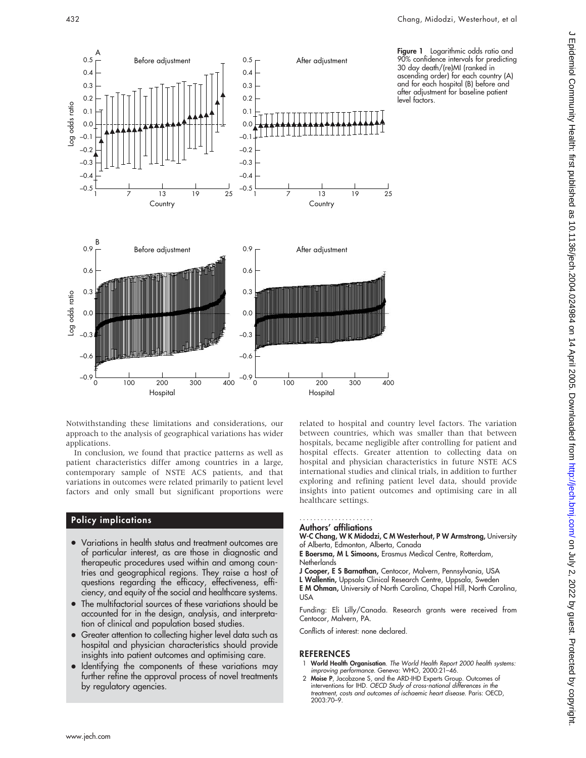

Figure 1 Logarithmic odds ratio and 90% confidence intervals for predicting 30 day death/(re)MI (ranked in ascending order) for each country (A) and for each hospital (B) before and after adjustment for baseline patient level factors.

Notwithstanding these limitations and considerations, our approach to the analysis of geographical variations has wider applications.

In conclusion, we found that practice patterns as well as patient characteristics differ among countries in a large, contemporary sample of NSTE ACS patients, and that variations in outcomes were related primarily to patient level factors and only small but significant proportions were

# Policy implications

- Variations in health status and treatment outcomes are of particular interest, as are those in diagnostic and therapeutic procedures used within and among countries and geographical regions. They raise a host of questions regarding the efficacy, effectiveness, efficiency, and equity of the social and healthcare systems.
- The multifactorial sources of these variations should be accounted for in the design, analysis, and interpretation of clinical and population based studies.
- Greater attention to collecting higher level data such as hospital and physician characteristics should provide insights into patient outcomes and optimising care.
- Identifying the components of these variations may further refine the approval process of novel treatments by regulatory agencies.

related to hospital and country level factors. The variation between countries, which was smaller than that between hospitals, became negligible after controlling for patient and hospital effects. Greater attention to collecting data on hospital and physician characteristics in future NSTE ACS international studies and clinical trials, in addition to further exploring and refining patient level data, should provide insights into patient outcomes and optimising care in all healthcare settings.

#### Authors' affiliations .....................

W-C Chang, W K Midodzi, C M Westerhout, P W Armstrong, University of Alberta, Edmonton, Alberta, Canada

E Boersma, M L Simoons, Erasmus Medical Centre, Rotterdam, **Netherlands** 

J Cooper, E S Barnathan, Centocor, Malvern, Pennsylvania, USA

L Wallentin, Uppsala Clinical Research Centre, Uppsala, Sweden E M Ohman, University of North Carolina, Chapel Hill, North Carolina, USA

Funding: Eli Lilly/Canada. Research grants were received from Centocor, Malvern, PA.

Conflicts of interest: none declared.

# **REFERENCES**

- World Health Organisation. The World Health Report 2000 health systems: improving performance. Geneva: WHO, 2000:21–46. 2 Moise P, Jacobzone S, and the ARD-IHD Experts Group. Outcomes of
- interventions for IHD. OECD Study of cross-national differences in the treatment, costs and outcomes of ischaemic heart disease. Paris: OECD, 2003:70–9.